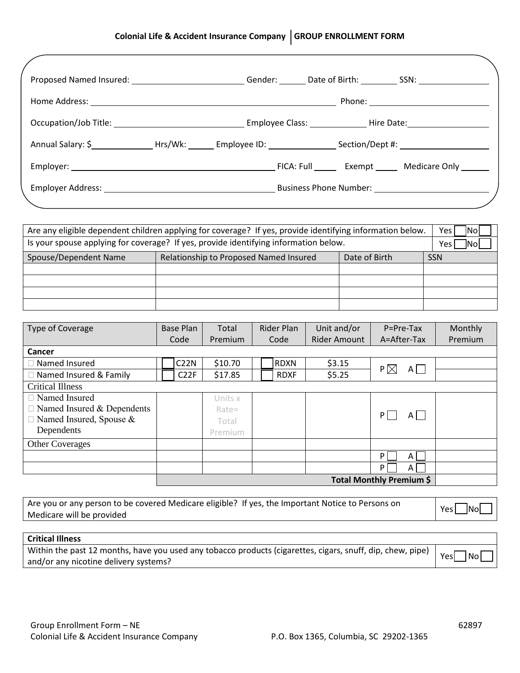## **Colonial Life & Accident Insurance Company GROUP ENROLLMENT FORM**

| Home Address: 2008. 2009. 2009. 2010. 2010. 2010. 2010. 2010. 2010. 2010. 2010. 2010. 2011. 2012. 2014. 2016. |  |  |  |
|---------------------------------------------------------------------------------------------------------------|--|--|--|
| Occupation/Job Title: Capacity Control Employee Class: Capacity Hire Date: Capacity Hire Date:                |  |  |  |
|                                                                                                               |  |  |  |
|                                                                                                               |  |  |  |
|                                                                                                               |  |  |  |

| Are any eligible dependent children applying for coverage? If yes, provide identifying information below. |                                        |            |  |  |  |
|-----------------------------------------------------------------------------------------------------------|----------------------------------------|------------|--|--|--|
| Is your spouse applying for coverage? If yes, provide identifying information below.                      |                                        |            |  |  |  |
| Spouse/Dependent Name                                                                                     | Relationship to Proposed Named Insured | <b>SSN</b> |  |  |  |
|                                                                                                           |                                        |            |  |  |  |
|                                                                                                           |                                        |            |  |  |  |
|                                                                                                           |                                        |            |  |  |  |
|                                                                                                           |                                        |            |  |  |  |

| Type of Coverage                  |                          | <b>Base Plan</b>  | Total   |  | Rider Plan  | Unit and/or         | P=Pre-Tax      | Monthly |
|-----------------------------------|--------------------------|-------------------|---------|--|-------------|---------------------|----------------|---------|
|                                   |                          | Code              | Premium |  | Code        | <b>Rider Amount</b> | A=After-Tax    | Premium |
| Cancer                            |                          |                   |         |  |             |                     |                |         |
| $\Box$ Named Insured              |                          | <b>C22N</b>       | \$10.70 |  | <b>RDXN</b> | \$3.15              |                |         |
| □ Named Insured & Family          |                          | C <sub>2</sub> 2F | \$17.85 |  | <b>RDXF</b> | \$5.25              | $A$    <br>P X |         |
| <b>Critical Illness</b>           |                          |                   |         |  |             |                     |                |         |
| $\Box$ Named Insured              |                          |                   | Units x |  |             |                     |                |         |
| $\Box$ Named Insured & Dependents |                          |                   | Rate=   |  |             |                     |                |         |
| $\Box$ Named Insured, Spouse &    |                          |                   | Total   |  |             |                     | P<br>AI        |         |
| Dependents                        |                          |                   | Premium |  |             |                     |                |         |
| <b>Other Coverages</b>            |                          |                   |         |  |             |                     |                |         |
|                                   |                          |                   |         |  |             |                     | P<br>A         |         |
|                                   |                          |                   |         |  |             |                     | P<br>A         |         |
|                                   | Total Monthly Premium \$ |                   |         |  |             |                     |                |         |

| Are you or any person to be covered Medicare eligible? If yes, the Important Notice to Persons on Are | <b>Nol</b> |
|-------------------------------------------------------------------------------------------------------|------------|
| Medicare will be provided                                                                             | Yes.       |
|                                                                                                       |            |

| Critical Illness                                                                                           |                     |
|------------------------------------------------------------------------------------------------------------|---------------------|
| Within the past 12 months, have you used any tobacco products (cigarettes, cigars, snuff, dip, chew, pipe) | <u>INOL</u><br>Yesi |
| and/or any nicotine delivery systems?                                                                      |                     |